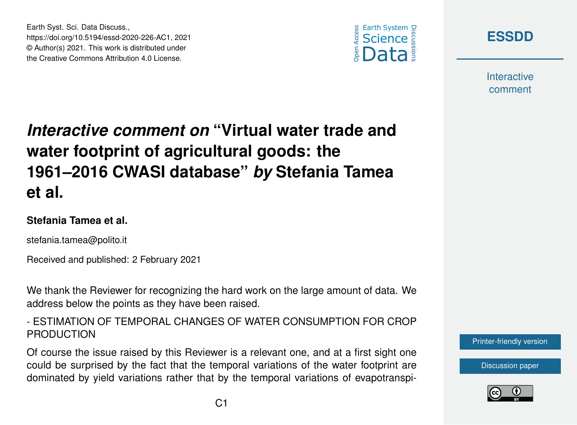



**Interactive** comment

# *Interactive comment on* **"Virtual water trade and water footprint of agricultural goods: the 1961–2016 CWASI database"** *by* **Stefania Tamea et al.**

#### **Stefania Tamea et al.**

Earth Syst. Sci. Data Discuss.,

https://doi.org/10.5194/essd-2020-226-AC1, 2021 © Author(s) 2021. This work is distributed under the Creative Commons Attribution 4.0 License.

stefania.tamea@polito.it

Received and published: 2 February 2021

We thank the Reviewer for recognizing the hard work on the large amount of data. We address below the points as they have been raised.

- ESTIMATION OF TEMPORAL CHANGES OF WATER CONSUMPTION FOR CROP PRODUCTION

Of course the issue raised by this Reviewer is a relevant one, and at a first sight one could be surprised by the fact that the temporal variations of the water footprint are dominated by yield variations rather that by the temporal variations of evapotranspi-



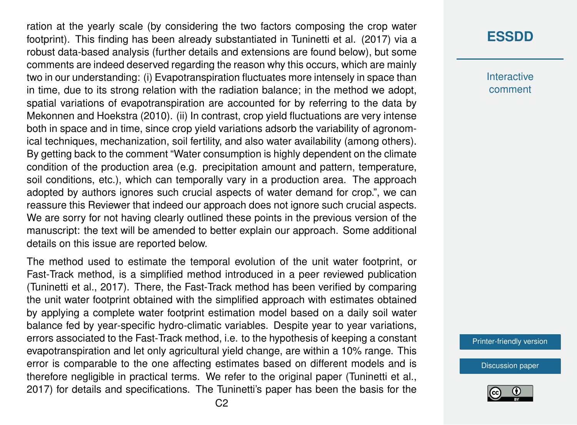ration at the yearly scale (by considering the two factors composing the crop water footprint). This finding has been already substantiated in Tuninetti et al. (2017) via a robust data-based analysis (further details and extensions are found below), but some comments are indeed deserved regarding the reason why this occurs, which are mainly two in our understanding: (i) Evapotranspiration fluctuates more intensely in space than in time, due to its strong relation with the radiation balance; in the method we adopt, spatial variations of evapotranspiration are accounted for by referring to the data by Mekonnen and Hoekstra (2010). (ii) In contrast, crop yield fluctuations are very intense both in space and in time, since crop yield variations adsorb the variability of agronomical techniques, mechanization, soil fertility, and also water availability (among others). By getting back to the comment "Water consumption is highly dependent on the climate condition of the production area (e.g. precipitation amount and pattern, temperature, soil conditions, etc.), which can temporally vary in a production area. The approach adopted by authors ignores such crucial aspects of water demand for crop.", we can reassure this Reviewer that indeed our approach does not ignore such crucial aspects. We are sorry for not having clearly outlined these points in the previous version of the manuscript: the text will be amended to better explain our approach. Some additional details on this issue are reported below.

The method used to estimate the temporal evolution of the unit water footprint, or Fast-Track method, is a simplified method introduced in a peer reviewed publication (Tuninetti et al., 2017). There, the Fast-Track method has been verified by comparing the unit water footprint obtained with the simplified approach with estimates obtained by applying a complete water footprint estimation model based on a daily soil water balance fed by year-specific hydro-climatic variables. Despite year to year variations, errors associated to the Fast-Track method, i.e. to the hypothesis of keeping a constant evapotranspiration and let only agricultural yield change, are within a 10% range. This error is comparable to the one affecting estimates based on different models and is therefore negligible in practical terms. We refer to the original paper (Tuninetti et al., 2017) for details and specifications. The Tuninetti's paper has been the basis for the

### **[ESSDD](https://essd.copernicus.org/preprints/)**

**Interactive** comment

[Printer-friendly version](https://essd.copernicus.org/preprints/essd-2020-226/essd-2020-226-AC1-print.pdf)

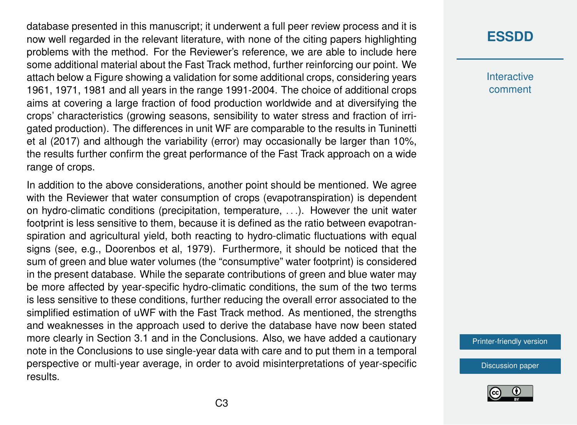database presented in this manuscript; it underwent a full peer review process and it is now well regarded in the relevant literature, with none of the citing papers highlighting problems with the method. For the Reviewer's reference, we are able to include here some additional material about the Fast Track method, further reinforcing our point. We attach below a Figure showing a validation for some additional crops, considering years 1961, 1971, 1981 and all years in the range 1991-2004. The choice of additional crops aims at covering a large fraction of food production worldwide and at diversifying the crops' characteristics (growing seasons, sensibility to water stress and fraction of irrigated production). The differences in unit WF are comparable to the results in Tuninetti et al (2017) and although the variability (error) may occasionally be larger than 10%, the results further confirm the great performance of the Fast Track approach on a wide range of crops.

In addition to the above considerations, another point should be mentioned. We agree with the Reviewer that water consumption of crops (evapotranspiration) is dependent on hydro-climatic conditions (precipitation, temperature, . . .). However the unit water footprint is less sensitive to them, because it is defined as the ratio between evapotranspiration and agricultural yield, both reacting to hydro-climatic fluctuations with equal signs (see, e.g., Doorenbos et al, 1979). Furthermore, it should be noticed that the sum of green and blue water volumes (the "consumptive" water footprint) is considered in the present database. While the separate contributions of green and blue water may be more affected by year-specific hydro-climatic conditions, the sum of the two terms is less sensitive to these conditions, further reducing the overall error associated to the simplified estimation of uWF with the Fast Track method. As mentioned, the strengths and weaknesses in the approach used to derive the database have now been stated more clearly in Section 3.1 and in the Conclusions. Also, we have added a cautionary note in the Conclusions to use single-year data with care and to put them in a temporal perspective or multi-year average, in order to avoid misinterpretations of year-specific results.

### **[ESSDD](https://essd.copernicus.org/preprints/)**

**Interactive** comment

[Printer-friendly version](https://essd.copernicus.org/preprints/essd-2020-226/essd-2020-226-AC1-print.pdf)

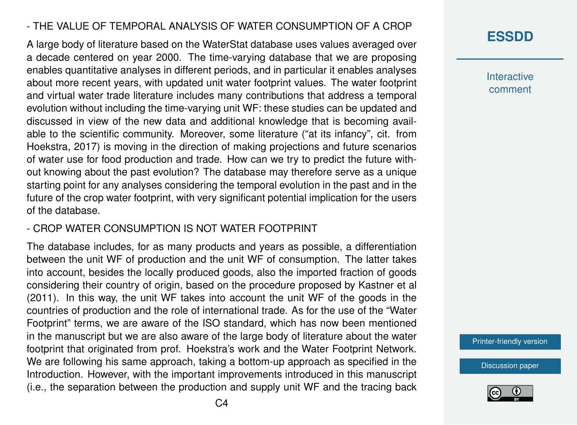#### - THE VALUE OF TEMPORAL ANALYSIS OF WATER CONSUMPTION OF A CROP

A large body of literature based on the WaterStat database uses values averaged over a decade centered on year 2000. The time-varying database that we are proposing enables quantitative analyses in different periods, and in particular it enables analyses about more recent years, with updated unit water footprint values. The water footprint and virtual water trade literature includes many contributions that address a temporal evolution without including the time-varying unit WF: these studies can be updated and discussed in view of the new data and additional knowledge that is becoming available to the scientific community. Moreover, some literature ("at its infancy", cit. from Hoekstra, 2017) is moving in the direction of making projections and future scenarios of water use for food production and trade. How can we try to predict the future without knowing about the past evolution? The database may therefore serve as a unique starting point for any analyses considering the temporal evolution in the past and in the future of the crop water footprint, with very significant potential implication for the users of the database.

#### - CROP WATER CONSUMPTION IS NOT WATER FOOTPRINT

The database includes, for as many products and years as possible, a differentiation between the unit WF of production and the unit WF of consumption. The latter takes into account, besides the locally produced goods, also the imported fraction of goods considering their country of origin, based on the procedure proposed by Kastner et al (2011). In this way, the unit WF takes into account the unit WF of the goods in the countries of production and the role of international trade. As for the use of the "Water Footprint" terms, we are aware of the ISO standard, which has now been mentioned in the manuscript but we are also aware of the large body of literature about the water footprint that originated from prof. Hoekstra's work and the Water Footprint Network. We are following his same approach, taking a bottom-up approach as specified in the Introduction. However, with the important improvements introduced in this manuscript (i.e., the separation between the production and supply unit WF and the tracing back **Interactive** comment

[Printer-friendly version](https://essd.copernicus.org/preprints/essd-2020-226/essd-2020-226-AC1-print.pdf)

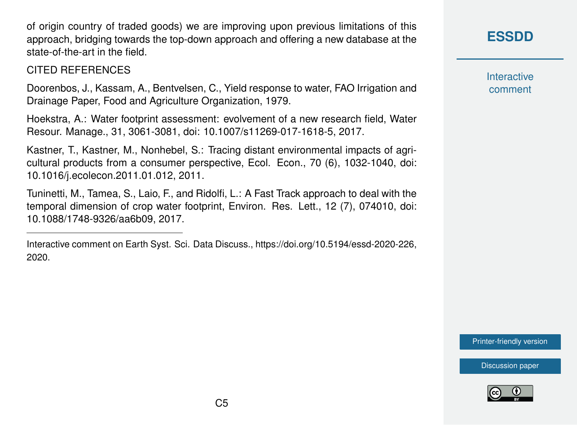of origin country of traded goods) we are improving upon previous limitations of this approach, bridging towards the top-down approach and offering a new database at the state-of-the-art in the field.

#### CITED REFERENCES

Doorenbos, J., Kassam, A., Bentvelsen, C., Yield response to water, FAO Irrigation and Drainage Paper, Food and Agriculture Organization, 1979.

Hoekstra, A.: Water footprint assessment: evolvement of a new research field, Water Resour. Manage., 31, 3061-3081, doi: 10.1007/s11269-017-1618-5, 2017.

Kastner, T., Kastner, M., Nonhebel, S.: Tracing distant environmental impacts of agricultural products from a consumer perspective, Ecol. Econ., 70 (6), 1032-1040, doi: 10.1016/j.ecolecon.2011.01.012, 2011.

Tuninetti, M., Tamea, S., Laio, F., and Ridolfi, L.: A Fast Track approach to deal with the temporal dimension of crop water footprint, Environ. Res. Lett., 12 (7), 074010, doi: 10.1088/1748-9326/aa6b09, 2017.

## **[ESSDD](https://essd.copernicus.org/preprints/)**

**Interactive** comment

[Printer-friendly version](https://essd.copernicus.org/preprints/essd-2020-226/essd-2020-226-AC1-print.pdf)



Interactive comment on Earth Syst. Sci. Data Discuss., https://doi.org/10.5194/essd-2020-226, 2020.